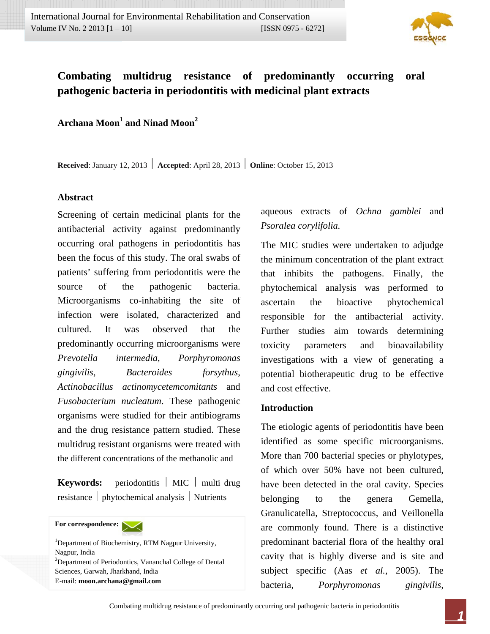

# **Combating multidrug resistance of predominantly occurring oral pathogenic bacteria in periodontitis with medicinal plant extracts**

 $\bf{Archana Moon}^1$  and  $\bf{Ninal Moon}^2$ 

**Received**: January 12, 2013 **| Accepted**: April 28, 2013 **| Online**: October 15, 2013

#### **Abstract**

Screening of certain medicinal plants for the antibacterial activity against predominantly occurring oral pathogens in periodontitis has been the focus of this study. The oral swabs of patients' suffering from periodontitis were the source of the pathogenic bacteria. Microorganisms co-inhabiting the site of infection were isolated, characterized and cultured. It was observed that the predominantly occurring microorganisms were *Prevotella intermedia*, *Porphyromonas gingivilis*, *Bacteroides forsythus*, *Actinobacillus actinomycetemcomitants* and *Fusobacterium nucleatum*. These pathogenic organisms were studied for their antibiograms and the drug resistance pattern studied. These multidrug resistant organisms were treated with the different concentrations of the methanolic and

**Keywords:** periodontitis | MIC | multi drug resistance | phytochemical analysis | Nutrients

**For correspondence:** 

<sup>1</sup>Department of Biochemistry, RTM Nagpur University, Nagpur, India <sup>2</sup>Department of Periodontics, Vananchal College of Dental Sciences, Garwah, Jharkhand, India E-mail: **moon.archana@gmail.com** 

aqueous extracts of *Ochna gamblei* and *Psoralea corylifolia.*

The MIC studies were undertaken to adjudge the minimum concentration of the plant extract that inhibits the pathogens. Finally, the phytochemical analysis was performed to ascertain the bioactive phytochemical responsible for the antibacterial activity. Further studies aim towards determining toxicity parameters and bioavailability investigations with a view of generating a potential biotherapeutic drug to be effective and cost effective.

#### **Introduction**

The etiologic agents of periodontitis have been identified as some specific microorganisms. More than 700 bacterial species or phylotypes, of which over 50% have not been cultured, have been detected in the oral cavity. Species belonging to the genera Gemella, Granulicatella, Streptococcus, and Veillonella are commonly found. There is a distinctive predominant bacterial flora of the healthy oral cavity that is highly diverse and is site and subject specific (Aas *et al.*, 2005). The bacteria, *Porphyromonas gingivilis,*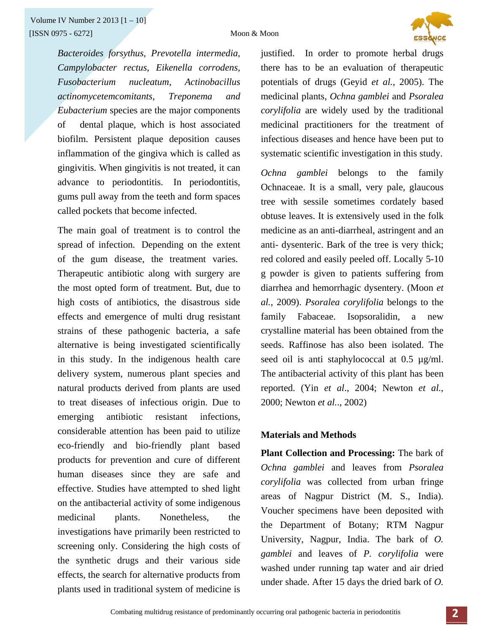

*Bacteroides forsythus, Prevotella intermedia, Campylobacter rectus, Eikenella corrodens, Fusobacterium nucleatum, Actinobacillus actinomycetemcomitants, Treponema and Eubacterium* species are the major components of dental plaque, which is host associated biofilm. Persistent plaque deposition causes inflammation of the gingiva which is called as gingivitis. When gingivitis is not treated, it can advance to periodontitis. In periodontitis, gums pull away from the teeth and form spaces called pockets that become infected.

The main goal of treatment is to control the spread of infection. Depending on the extent of the gum disease, the treatment varies. Therapeutic antibiotic along with surgery are the most opted form of treatment. But, due to high costs of antibiotics, the disastrous side effects and emergence of multi drug resistant strains of these pathogenic bacteria, a safe alternative is being investigated scientifically in this study. In the indigenous health care delivery system, numerous plant species and natural products derived from plants are used to treat diseases of infectious origin. Due to emerging antibiotic resistant infections, considerable attention has been paid to utilize eco-friendly and bio-friendly plant based products for prevention and cure of different human diseases since they are safe and effective. Studies have attempted to shed light on the antibacterial activity of some indigenous medicinal plants. Nonetheless, the investigations have primarily been restricted to screening only. Considering the high costs of the synthetic drugs and their various side effects, the search for alternative products from plants used in traditional system of medicine is

justified. In order to promote herbal drugs there has to be an evaluation of therapeutic potentials of drugs (Geyid *et al.*, 2005). The medicinal plants, *Ochna gamblei* and *Psoralea corylifolia* are widely used by the traditional medicinal practitioners for the treatment of infectious diseases and hence have been put to systematic scientific investigation in this study.

*Ochna gamblei* belongs to the family Ochnaceae. It is a small, very pale, glaucous tree with sessile sometimes cordately based obtuse leaves. It is extensively used in the folk medicine as an anti-diarrheal, astringent and an anti- dysenteric. Bark of the tree is very thick; red colored and easily peeled off. Locally 5-10 g powder is given to patients suffering from diarrhea and hemorrhagic dysentery. (Moon *et al.*, 2009). *Psoralea corylifolia* belongs to the family Fabaceae. Isopsoralidin, a new crystalline material has been obtained from the seeds. Raffinose has also been isolated. The seed oil is anti staphylococcal at 0.5  $\mu$ g/ml. The antibacterial activity of this plant has been reported. (Yin *et al*., 2004; Newton *et al.*, 2000; Newton *et al.*., 2002)

## **Materials and Methods**

**Plant Collection and Processing:** The bark of *Ochna gamblei* and leaves from *Psoralea corylifolia* was collected from urban fringe areas of Nagpur District (M. S., India). Voucher specimens have been deposited with the Department of Botany; RTM Nagpur University, Nagpur, India. The bark of *O. gamblei* and leaves of *P. corylifolia* were washed under running tap water and air dried under shade. After 15 days the dried bark of *O.*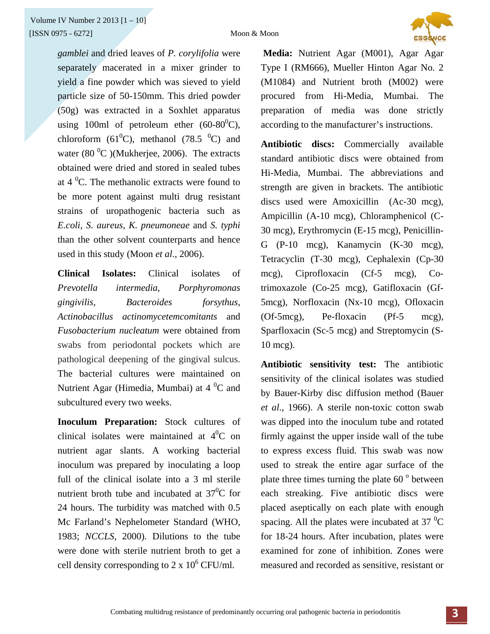

*gamblei* and dried leaves of *P. corylifolia* were separately macerated in a mixer grinder to yield a fine powder which was sieved to yield particle size of 50-150mm. This dried powder (50g) was extracted in a Soxhlet apparatus using 100ml of petroleum ether  $(60-80^0C)$ , chloroform (61<sup>0</sup>C), methanol (78.5<sup>0</sup>C) and water  $(80\text{ °C})$ (Mukherjee, 2006). The extracts obtained were dried and stored in sealed tubes at  $4^{\circ}$ C. The methanolic extracts were found to be more potent against multi drug resistant strains of uropathogenic bacteria such as *E.coli, S. aureus, K. pneumoneae* and *S. typhi* than the other solvent counterparts and hence used in this study (Moon *et al*., 2006).

**Clinical Isolates:** Clinical isolates of *Prevotella intermedia*, *Porphyromonas gingivilis*, *Bacteroides forsythus*, *Actinobacillus actinomycetemcomitants* and *Fusobacterium nucleatum* were obtained from swabs from periodontal pockets which are pathological deepening of the gingival sulcus. The bacterial cultures were maintained on Nutrient Agar (Himedia, Mumbai) at  $4\,^0C$  and subcultured every two weeks.

**Inoculum Preparation:** Stock cultures of clinical isolates were maintained at  $4^0C$  on nutrient agar slants. A working bacterial inoculum was prepared by inoculating a loop full of the clinical isolate into a 3 ml sterile nutrient broth tube and incubated at  $37^0C$  for 24 hours. The turbidity was matched with 0.5 Mc Farland's Nephelometer Standard (WHO, 1983; *NCCLS*, 2000). Dilutions to the tube were done with sterile nutrient broth to get a cell density corresponding to  $2 \times 10^6$  CFU/ml.

 **Media:** Nutrient Agar (M001), Agar Agar Type I (RM666), Mueller Hinton Agar No. 2 (M1084) and Nutrient broth (M002) were procured from Hi-Media, Mumbai. The preparation of media was done strictly according to the manufacturer's instructions.

**Antibiotic discs:** Commercially available standard antibiotic discs were obtained from Hi-Media, Mumbai. The abbreviations and strength are given in brackets. The antibiotic discs used were Amoxicillin (Ac-30 mcg), Ampicillin (A-10 mcg), Chloramphenicol (C-30 mcg), Erythromycin (E-15 mcg), Penicillin-G (P-10 mcg), Kanamycin (K-30 mcg), Tetracyclin (T-30 mcg), Cephalexin (Cp-30 mcg), Ciprofloxacin (Cf-5 mcg), Cotrimoxazole (Co-25 mcg), Gatifloxacin (Gf-5mcg), Norfloxacin (Nx-10 mcg), Ofloxacin (Of-5mcg), Pe-floxacin (Pf-5 mcg), Sparfloxacin (Sc-5 mcg) and Streptomycin (S-10 mcg).

**Antibiotic sensitivity test:** The antibiotic sensitivity of the clinical isolates was studied by Bauer-Kirby disc diffusion method (Bauer *et al*., 1966). A sterile non-toxic cotton swab was dipped into the inoculum tube and rotated firmly against the upper inside wall of the tube to express excess fluid. This swab was now used to streak the entire agar surface of the plate three times turning the plate  $60^{\degree}$  between each streaking. Five antibiotic discs were placed aseptically on each plate with enough spacing. All the plates were incubated at 37 $\mathrm{^{0}C}$ for 18-24 hours. After incubation, plates were examined for zone of inhibition. Zones were measured and recorded as sensitive, resistant or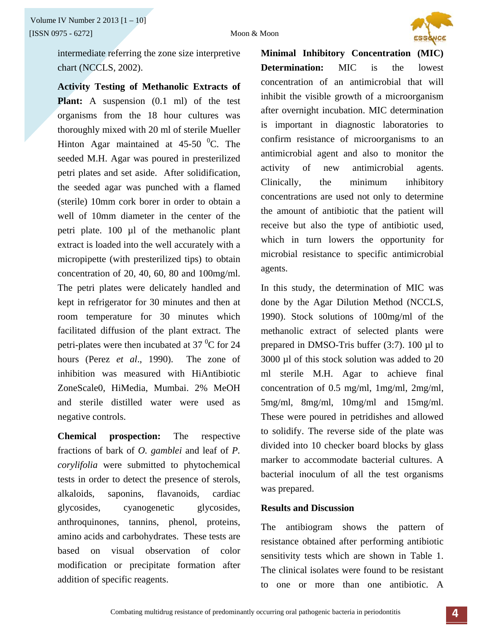

intermediate referring the zone size interpretive chart (NCCLS, 2002).

**Activity Testing of Methanolic Extracts of Plant:** A suspension (0.1 ml) of the test organisms from the 18 hour cultures was thoroughly mixed with 20 ml of sterile Mueller Hinton Agar maintained at  $45-50$  °C. The seeded M.H. Agar was poured in presterilized petri plates and set aside. After solidification, the seeded agar was punched with a flamed (sterile) 10mm cork borer in order to obtain a well of 10mm diameter in the center of the petri plate. 100 µl of the methanolic plant extract is loaded into the well accurately with a micropipette (with presterilized tips) to obtain concentration of 20, 40, 60, 80 and 100mg/ml. The petri plates were delicately handled and kept in refrigerator for 30 minutes and then at room temperature for 30 minutes which facilitated diffusion of the plant extract. The petri-plates were then incubated at 37 $\mathrm{^{0}C}$  for 24 hours (Perez *et al*., 1990). The zone of inhibition was measured with HiAntibiotic ZoneScale0, HiMedia, Mumbai. 2% MeOH and sterile distilled water were used as negative controls.

**Chemical prospection:** The respective fractions of bark of *O. gamblei* and leaf of *P. corylifolia* were submitted to phytochemical tests in order to detect the presence of sterols, alkaloids, saponins, flavanoids, cardiac glycosides, cyanogenetic glycosides, anthroquinones, tannins, phenol, proteins, amino acids and carbohydrates. These tests are based on visual observation of color modification or precipitate formation after addition of specific reagents.

**Minimal Inhibitory Concentration (MIC) Determination:** MIC is the lowest concentration of an antimicrobial that will inhibit the visible growth of a microorganism after overnight incubation. MIC determination is important in diagnostic laboratories to confirm resistance of microorganisms to an antimicrobial agent and also to monitor the activity of new antimicrobial agents. Clinically, the minimum inhibitory concentrations are used not only to determine the amount of antibiotic that the patient will receive but also the type of antibiotic used, which in turn lowers the opportunity for microbial resistance to specific antimicrobial agents.

In this study, the determination of MIC was done by the Agar Dilution Method (NCCLS, 1990). Stock solutions of 100mg/ml of the methanolic extract of selected plants were prepared in DMSO-Tris buffer (3:7). 100 µl to 3000 µl of this stock solution was added to 20 ml sterile M.H. Agar to achieve final concentration of 0.5 mg/ml, 1mg/ml, 2mg/ml, 5mg/ml, 8mg/ml, 10mg/ml and 15mg/ml. These were poured in petridishes and allowed to solidify. The reverse side of the plate was divided into 10 checker board blocks by glass marker to accommodate bacterial cultures. A bacterial inoculum of all the test organisms was prepared.

#### **Results and Discussion**

The antibiogram shows the pattern of resistance obtained after performing antibiotic sensitivity tests which are shown in Table 1. The clinical isolates were found to be resistant to one or more than one antibiotic. A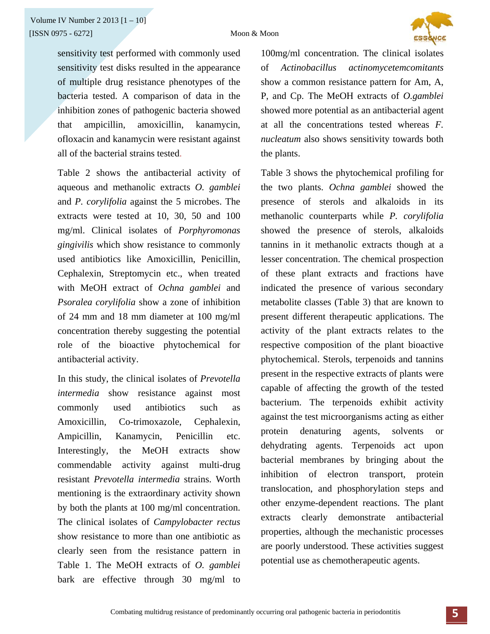

sensitivity test performed with commonly used sensitivity test disks resulted in the appearance of multiple drug resistance phenotypes of the bacteria tested. A comparison of data in the inhibition zones of pathogenic bacteria showed that ampicillin, amoxicillin, kanamycin, ofloxacin and kanamycin were resistant against all of the bacterial strains tested.

Table 2 shows the antibacterial activity of aqueous and methanolic extracts *O. gamblei* and *P. corylifolia* against the 5 microbes. The extracts were tested at 10, 30, 50 and 100 mg/ml. Clinical isolates of *Porphyromonas gingivilis* which show resistance to commonly used antibiotics like Amoxicillin, Penicillin, Cephalexin, Streptomycin etc., when treated with MeOH extract of *Ochna gamblei* and *Psoralea corylifolia* show a zone of inhibition of 24 mm and 18 mm diameter at 100 mg/ml concentration thereby suggesting the potential role of the bioactive phytochemical for antibacterial activity.

In this study, the clinical isolates of *Prevotella intermedia* show resistance against most commonly used antibiotics such as Amoxicillin, Co-trimoxazole, Cephalexin, Ampicillin, Kanamycin, Penicillin etc. Interestingly, the MeOH extracts show commendable activity against multi-drug resistant *Prevotella intermedia* strains. Worth mentioning is the extraordinary activity shown by both the plants at 100 mg/ml concentration. The clinical isolates of *Campylobacter rectus*  show resistance to more than one antibiotic as clearly seen from the resistance pattern in Table 1. The MeOH extracts of *O. gamblei* bark are effective through 30 mg/ml to

100mg/ml concentration. The clinical isolates of *Actinobacillus actinomycetemcomitants* show a common resistance pattern for Am, A, P, and Cp. The MeOH extracts of *O.gamblei*  showed more potential as an antibacterial agent at all the concentrations tested whereas *F. nucleatum* also shows sensitivity towards both the plants.

Table 3 shows the phytochemical profiling for the two plants. *Ochna gamblei* showed the presence of sterols and alkaloids in its methanolic counterparts while *P. corylifolia*  showed the presence of sterols, alkaloids tannins in it methanolic extracts though at a lesser concentration. The chemical prospection of these plant extracts and fractions have indicated the presence of various secondary metabolite classes (Table 3) that are known to present different therapeutic applications. The activity of the plant extracts relates to the respective composition of the plant bioactive phytochemical. Sterols, terpenoids and tannins present in the respective extracts of plants were capable of affecting the growth of the tested bacterium. The terpenoids exhibit activity against the test microorganisms acting as either protein denaturing agents, solvents or dehydrating agents. Terpenoids act upon bacterial membranes by bringing about the inhibition of electron transport, protein translocation, and phosphorylation steps and other enzyme-dependent reactions. The plant extracts clearly demonstrate antibacterial properties, although the mechanistic processes are poorly understood. These activities suggest potential use as chemotherapeutic agents.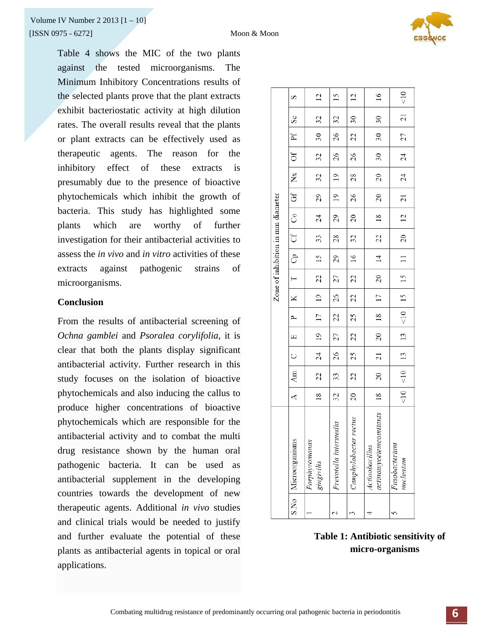Table 4 shows the MIC of the two plants against the tested microorganisms. The Minimum Inhibitory Concentrations results of the selected plants prove that the plant extracts exhibit bacteriostatic activity at high dilution rates. The overall results reveal that the plants or plant extracts can be effectively used as therapeutic agents. The reason for the inhibitory effect of these extracts is presumably due to the presence of bioactive phytochemicals which inhibit the growth of bacteria. This study has highlighted some plants which are worthy of further investigation for their antibacterial activities to assess the *in vivo* and *in vitro* activities of these extracts against pathogenic strains of microorganisms.

### **Conclusion**

From the results of antibacterial screening of *Ochna gamblei* and *Psoralea corylifolia,* it is clear that both the plants display significant antibacterial activity. Further research in this study focuses on the isolation of bioactive phytochemicals and also inducing the callus to produce higher concentrations of bioactive phytochemicals which are responsible for the antibacterial activity and to combat the multi drug resistance shown by the human oral pathogenic bacteria. It can be used as antibacterial supplement in the developing countries towards the development of new therapeutic agents. Additional *in vivo* studies and clinical trials would be needed to justify and further evaluate the potential of these plants as antibacterial agents in topical or oral applications.

|                                          |                |                                             |                 |                            |                 |                |                      |                                         |     | Zone of inhibition in mm diameter |                 |               |                 |                 |                             |                 |
|------------------------------------------|----------------|---------------------------------------------|-----------------|----------------------------|-----------------|----------------|----------------------|-----------------------------------------|-----|-----------------------------------|-----------------|---------------|-----------------|-----------------|-----------------------------|-----------------|
| S.No   Microorganisms                    | $\overline{A}$ | Am                                          | $\cup$          | $\Box$                     | $\sim$          | $\times$       | $\frac{1}{\sqrt{2}}$ | ි<br>උ                                  | ີ ແ | රි                                | Gf $\,$ ,       | $\mathbf{X}$  | Of              | $-$ Pf $-$      | $\mathcal{S}_{\mathcal{C}}$ | $\Omega$        |
| Porphyromonas<br>gingivilis              | $\frac{8}{18}$ | 22                                          | 24              | $\overline{19}$            | $\overline{17}$ | 19             | 22                   | $\overline{15}$                         | 33  | 24                                | 29              | 32            | $32 \,$         | 30              | $\overline{32}$             | 12              |
| Prevotella intermedia                    | 32             | 33                                          | 26              | 27                         | $\mathfrak{Z}$  | 26             | 27                   | 29                                      | 28  | 29                                | $\overline{19}$ | $\frac{1}{2}$ | 26              | 26              | 32                          | 15              |
| Camphylobacter rectus                    | $\overline{0}$ | 22                                          | 25              | $\overline{c}$             | 25              | $\overline{c}$ | 22                   | $\frac{6}{1}$                           | 32  | $\overline{c}$                    | 26              | 28            | 26              | 22              | $\overline{30}$             | $\overline{c}$  |
| actinomycetemcomitants<br>Actinobacillus | $\frac{8}{16}$ | $\overline{c}$                              | $\overline{21}$ | $\overline{\phantom{0}20}$ | $\frac{8}{2}$   | $\frac{1}{7}$  | $\boxed{20}$         | $\frac{14}{1}$                          | 22  | $\frac{8}{18}$                    | $\overline{20}$ | 20            | $\overline{30}$ | 30 <sub>o</sub> | $\overline{30}$             | $\overline{16}$ |
| Fusobacterium<br>nucleatum               |                | $\leq$ 10 $\mid$ $\leq$ 10 $\mid$ 13 $\mid$ |                 | $\frac{13}{2}$             | $15$   15   15  |                |                      | $\begin{array}{c} -1 \\ -1 \end{array}$ | 20  | $12 \text{ }$                     | $\overline{21}$ | 24            | 24              | 27              | $\frac{21}{2}$              | $\frac{1}{2}$   |

**Table 1: Antibiotic sensitivity of micro-organisms**

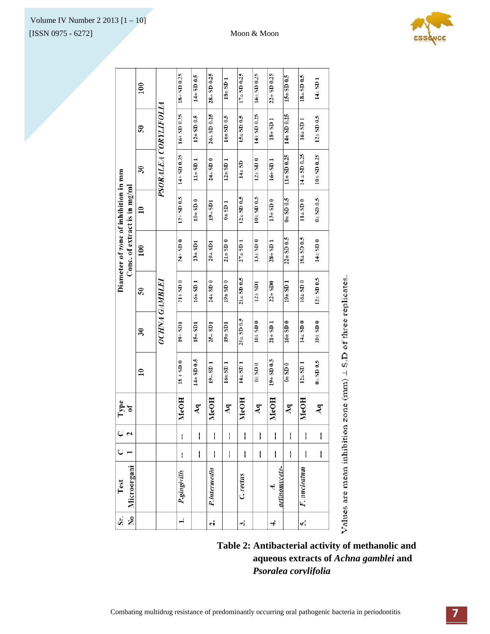

| Sr.                  | Test                  | C |              | Type<br>of      |                 |                          |                  | Diameter of zone of inhibition in mm |                  |                          |                          |                         |
|----------------------|-----------------------|---|--------------|-----------------|-----------------|--------------------------|------------------|--------------------------------------|------------------|--------------------------|--------------------------|-------------------------|
| ۶                    | Microorgani           |   |              |                 |                 |                          |                  | Conc. of extract is in mg/ml         |                  |                          |                          |                         |
|                      |                       |   |              |                 | $\overline{10}$ | $\overline{\mathbf{30}}$ | $\mathbf{S}$     | 100                                  | $\overline{10}$  | $\overline{\mathbf{30}}$ | $\overline{\mathbf{50}}$ | 100                     |
|                      |                       |   |              |                 |                 |                          | OCHNA GAMBLEI    |                                      |                  | PSORALEA CORYLIFOLIA     |                          |                         |
| $\ddot{ }$           | P.gingivilis          | ı | ł            | MeOH            | $18 + SD$ 0     | $19 + SD1$               | $21 + SD$ 0      | $24 + SD = 0$                        | $12 + SD$ 0.5    | $14 + SD$ 0.25           | $16 + SD$ 0.25           | $18 + SD$ 0.25          |
|                      |                       | I | I            | $\mathbf{A}$ q  | $14\pm$ SD 0.5  | $15 \pm SDI$             | $16 \pm SD1$     | $23 \pm SD1$                         | $10\pm$ SD 0     | $11 + SD1$               | $12 + SD$ 0.5            | $14\pm S\text{D}$ 0.5   |
| $\ddot{\phantom{a}}$ | P.intermedia          | I | I            | MeOH            | $19 \perp$ SD 1 | $25 - SD1$               | $24 + SD$ 0      | $29 - SD1$                           | $19 - SD1$       | $24 \perp SD$ 0          | $26 \pm SD$ 0.25         | 28 <sub>-</sub> SD 0.25 |
|                      |                       | I | I            | $\overline{Aq}$ | $16 \pm$ SD 1   | $19 + SD1$               | $19 \pm SD$ 0    | $21 \pm SD$ 0                        | $0\pm$ SD 1      | $12 \pm SD1$             | $16\pm$ SD 0.5           | $18 \pm SD1$            |
| š,                   | C. rectus             | I | I            | MeOH            | $14 + SD$ 1     | $20\pm$ SD 0.5           | $21 \pm S/D$ 0.5 | $27 \pm SD1$                         | $12 \pm SD$ 0.5  | $14 \pm 5D$              | $15 \pm S$ D 0.5         | $17\pm$ SD 0.25         |
|                      |                       | I | $\mathbf{I}$ | $\overline{Aq}$ | $0 + SD0$       | $10 \pm S$ D 0           | $12 \pm SD1$     | $13 \pm SD$ 0                        | $10\pm$ SD 0.5   | $12 \pm SD$ 0            | $14 \pm 5D$ 0.25         | $16\pm$ SD 0.25         |
| 4.                   | actinomvcete-<br>ત્તં | I | I            | MeOH            | $19 + S.D 0.5$  | $21 \pm SD1$             | $22 \pm SD0$     | $28 \pm SD1$                         | $13\pm$ SD 0     | $16 \pm SD1$             | $18\pm$ SD 1             | $22\pm$ SD 0.25         |
|                      |                       | I | I            | $\mathbf{A}$ q  | $0.05 + 0$      | $16 \pm S D$ 0           | $19 \pm SD1$     | $22 \pm SD$ 0.5                      | $0.5$ 0.5        | $11 \pm SD$ 0.25         | $14 \pm SD$ 0.25         | $15 \pm SD$ 0.5         |
| v,                   | F. nucleatum          | I | I            | MeOH            | $12 + SD1$      | $14 \pm S$ D 0           | $16\pm$ SD 0     | $18\pm$ SD 0.5                       | $11 \pm SD$ 0    | $14 \pm SD$ 0.25         | $16\pm$ SD 1             | $18\pm$ SD 0.5          |
|                      |                       | I | $\mathbf{I}$ | $\mathbf{A}$ q  | $0\pm$ SD $0.5$ | $10\pm$ SD 0             | $12 \pm SD$ 0.5  | $14 \pm SD$ 0                        | $0.5003 \pm 0.5$ | $10 + SD$ 0.25           | $12 \pm SD$ 0.5          | $14 \pm SD1$            |
|                      |                       |   |              |                 |                 |                          |                  |                                      |                  |                          |                          |                         |

Values are mean inhibition zone (mm)  $\perp$  S.D of three replicates.

**Table 2: Antibacterial activity of methanolic and aqueous extracts of** *Achna gamblei* **and**  *Psoralea corylifolia*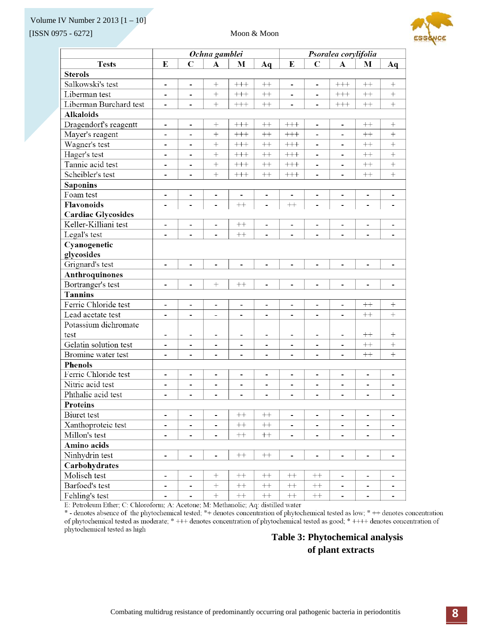#### Volume IV Number 2 2013 [1 – 10]

[ISSN 0975 - 6272] Moon & Moon



|                           | Ochna gamblei<br>Psoralea corylifolia |                              |                              |                              |                              |                              |                              |                              |                              |                          |
|---------------------------|---------------------------------------|------------------------------|------------------------------|------------------------------|------------------------------|------------------------------|------------------------------|------------------------------|------------------------------|--------------------------|
| <b>Tests</b>              | E                                     | C                            | $\mathbf A$                  | М                            | Aq                           | E                            | $\mathbf C$                  | $\boldsymbol{\Lambda}$       | М                            | Aq                       |
| <b>Sterols</b>            |                                       |                              |                              |                              |                              |                              |                              |                              |                              |                          |
| Salkowski's test          | $\overline{\phantom{0}}$              | $\overline{\phantom{a}}$     | $^{+}$                       | $+++$                        | $^{++}$                      | $\overline{\phantom{0}}$     | $\overline{a}$               | $+++$                        | $^{++}$                      | $^{+}$                   |
| Liberman test             | $\overline{\phantom{0}}$              |                              | $\ddot{}$                    | $+++$                        | $^{++}$                      | $\blacksquare$               | ä,                           | $++++$                       | $^{++}$                      | $^{+}$                   |
| Liberman Burchard test    | $\overline{\phantom{0}}$              |                              | $^{+}$                       | $^{+++}$                     | $++ \qquad \qquad$           |                              |                              | $^{+++}$                     | $^{++}$                      | $^{+}$                   |
| <b>Alkaloids</b>          |                                       |                              |                              |                              |                              |                              |                              |                              |                              |                          |
| Dragendorf's reagentt     | $\overline{\phantom{a}}$              | $\overline{\phantom{a}}$     | $^{+}$                       | $+++$                        | $^{++}$                      | $^{+++}$                     | $\qquad \qquad \blacksquare$ | $\overline{\phantom{a}}$     | $^{++}$                      | $^{+}$                   |
| Mayer's reagent           | ۰                                     | $\blacksquare$               | $^{+}$                       | $+++$                        | $^{++}$                      | $^{+++}$                     | $\overline{a}$               | $\overline{a}$               | $^{++}$                      | $^{+}$                   |
| Wagner's test             | $\overline{\phantom{0}}$              | $\blacksquare$               | $+$                          | $+++$                        | $^{++}\,$                    | $^{+++}$                     | $\blacksquare$               |                              | $^{++}$                      | $+$                      |
| Hager's test              | $\qquad \qquad \blacksquare$          | $\overline{\phantom{a}}$     | $+$                          | $^{+++}$                     | $^{++}$                      | $^{+++}$                     | $\qquad \qquad \blacksquare$ | $\overline{\phantom{a}}$     | $^{++}$                      | $+$                      |
| Tannic acid test          | $\qquad \qquad \blacksquare$          | $\blacksquare$               | $\! + \!$                    | $+++$                        | $^{++}\,$                    | $^{+++}$                     | -                            | $\blacksquare$               | $++$                         |                          |
| Scheibler's test          | $\overline{\phantom{a}}$              | $\overline{\phantom{a}}$     | $+$                          | $+++$                        | $^{++}\,$                    | $^{+++}$                     | $\overline{\phantom{a}}$     | $\blacksquare$               | $^{++}$                      | $+$                      |
| <b>Saponins</b>           |                                       |                              |                              |                              |                              |                              |                              |                              |                              |                          |
| Foam test                 | $\overline{\phantom{a}}$              | $\blacksquare$               | $\blacksquare$               | $\qquad \qquad \blacksquare$ | $\overline{\phantom{a}}$     | $\blacksquare$               | $\overline{\phantom{0}}$     | $\blacksquare$               | $\qquad \qquad \blacksquare$ | $\overline{\phantom{a}}$ |
| <b>Flavonoids</b>         |                                       |                              |                              | $^{++}$                      |                              | $^{++}$                      |                              |                              |                              |                          |
| <b>Cardiac Glycosides</b> |                                       |                              |                              |                              |                              |                              |                              |                              |                              |                          |
| Keller-Killiani test      | $\blacksquare$                        | $\blacksquare$               | ä,                           | $++$                         | ä,                           | ä,                           | ä,                           | $\blacksquare$               | ٠                            | $\overline{\phantom{a}}$ |
| Legal's test              | $\overline{\phantom{0}}$              |                              |                              | $++$                         | $\overline{a}$               |                              | $\overline{a}$               |                              |                              |                          |
| Cyanogenetic              |                                       |                              |                              |                              |                              |                              |                              |                              |                              |                          |
| glycosides                |                                       |                              |                              |                              |                              |                              |                              |                              |                              |                          |
| Grignard's test           | $\overline{\phantom{0}}$              | $\overline{a}$               | $\overline{a}$               | $\overline{a}$               | $\overline{a}$               | $\overline{a}$               | $\overline{a}$               | $\overline{a}$               | $\overline{a}$               | $\overline{\phantom{a}}$ |
| Anthroquinones            |                                       |                              |                              |                              |                              |                              |                              |                              |                              |                          |
| Bortranger's test         | $\overline{\phantom{a}}$              | $\qquad \qquad \blacksquare$ | $^{+}$                       | $++$                         | $\overline{\phantom{0}}$     | $\qquad \qquad \blacksquare$ | $\qquad \qquad \blacksquare$ | $\qquad \qquad \blacksquare$ | $\qquad \qquad \blacksquare$ | $\overline{\phantom{a}}$ |
| <b>Tannins</b>            |                                       |                              |                              |                              |                              |                              |                              |                              |                              |                          |
| Ferric Chloride test      | $\overline{\phantom{a}}$              | $\overline{\phantom{a}}$     | $\overline{\phantom{a}}$     | $\blacksquare$               | -                            | $\overline{\phantom{a}}$     | $\overline{\phantom{a}}$     | $\overline{\phantom{a}}$     | $^{++}$                      | $^{+}$                   |
| Lead acetate test         | $\overline{\phantom{0}}$              | ÷,                           | $\overline{a}$               | ä,                           | Ĭ.                           | ä,                           | ä,                           | $\overline{\phantom{0}}$     | $++$                         | $\! + \!$                |
| Potassium dichromate      |                                       |                              |                              |                              |                              |                              |                              |                              |                              |                          |
| test                      | -                                     | $\overline{\phantom{0}}$     |                              | $\blacksquare$               | -                            | $\blacksquare$               | $\overline{\phantom{a}}$     |                              | $^{++}$                      | $^{+}$                   |
| Gelatin solution test     | $\blacksquare$                        | ٠                            | $\qquad \qquad \blacksquare$ | ۰                            | -                            | $\overline{\phantom{a}}$     | -                            | $\overline{\phantom{a}}$     | $++$                         | $\qquad \qquad +$        |
| Bromine water test        | $\overline{\phantom{a}}$              | $\overline{a}$               | $\overline{a}$               | $\overline{a}$               | $\overline{a}$               | $\overline{a}$               | $\overline{a}$               | $\overline{\phantom{0}}$     | $^{++}$                      | $+$                      |
| <b>Phenols</b>            |                                       |                              |                              |                              |                              |                              |                              |                              |                              |                          |
| Ferric Chloride test      | $\overline{\phantom{a}}$              | $\overline{\phantom{a}}$     | $\overline{\phantom{a}}$     | $\overline{\phantom{a}}$     | $\qquad \qquad \blacksquare$ | $\blacksquare$               | $\qquad \qquad \blacksquare$ | $\overline{\phantom{a}}$     | $\overline{\phantom{a}}$     | $\blacksquare$           |
| Nitric acid test          |                                       |                              |                              | $\blacksquare$               |                              |                              | Ĭ.                           |                              |                              |                          |
| Phthalic acid test        | ۰                                     | ۰                            | $\blacksquare$               | $\blacksquare$               | -                            | -                            | ٠                            | $\overline{\phantom{0}}$     | -                            | $\blacksquare$           |
| <b>Proteins</b>           |                                       |                              |                              |                              |                              |                              |                              |                              |                              |                          |
| Biuret test               | $\overline{\phantom{0}}$              | $\overline{\phantom{a}}$     | $\blacksquare$               | $^{++}\,$                    | $^{++}\,$                    | $\blacksquare$               | $\qquad \qquad \blacksquare$ | $\qquad \qquad \blacksquare$ | $\qquad \qquad \blacksquare$ | $\blacksquare$           |
| Xanthoproteic test        | ۰                                     | $\blacksquare$               | $\blacksquare$               | $^{++}\,$                    | $^{++}\,$                    | ۰                            | -                            | -                            | $\blacksquare$               |                          |
| Millon's test             | $\overline{\phantom{0}}$              | $\overline{\phantom{a}}$     | $\blacksquare$               | $\boldsymbol{++}$            | $\boldsymbol{++}$            | $\overline{\phantom{a}}$     | $\overline{\phantom{0}}$     | $\overline{\phantom{a}}$     | $\overline{\phantom{0}}$     |                          |
| Amino acids               |                                       |                              |                              |                              |                              |                              |                              |                              |                              |                          |
| Ninhydrin test            |                                       | -                            | $\qquad \qquad \blacksquare$ | $^{++}\,$                    | $^{++}$                      |                              | $\qquad \qquad \blacksquare$ | $\qquad \qquad \blacksquare$ |                              |                          |
| Carbohydrates             |                                       |                              |                              |                              |                              |                              |                              |                              |                              |                          |
| Molisch test              | -                                     | ٠                            |                              | $^{++}\,$                    | $^{++}$                      | $++$                         | $^{++}\,$                    | ٠                            | -                            |                          |
| Barfoed's test            | -                                     | $\qquad \qquad \blacksquare$ | $\! +$                       | $\boldsymbol{++}$            | $\boldsymbol{++}$            | $^{++}\,$                    | $^{++}\,$                    | $\overline{\phantom{0}}$     | -                            | $\blacksquare$           |
| Fehling's test            | $\overline{\phantom{a}}$              | $\overline{\phantom{a}}$     | $\boldsymbol{+}$             | $^{++}\,$                    | $^{++}\,$                    | $^{++}$                      | $^{++}\,$                    | $\overline{\phantom{a}}$     | $\overline{\phantom{0}}$     | $\overline{\phantom{a}}$ |

E: Petroleum Ether; C: Chloroform; A: Acetone; M: Methanolic; Aq: distilled water

\* - denotes absence of the phytochemical tested; \*+ denotes concentration of phytochemical tested as low; \* ++ denotes concentration of phytochemical tested as moderate; \* +++ denotes concentration of phytochemical tested as good; \* ++++ denotes concentration of phytochemical tested as high

## **Table 3: Phytochemical analysis of plant extracts**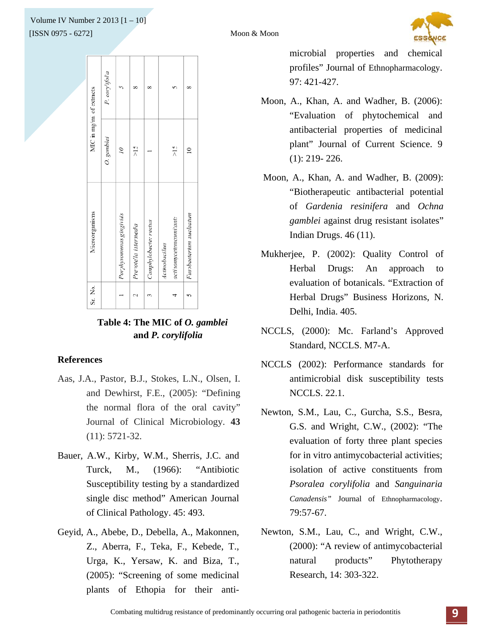## $[ISSN 0975 - 6272]$ Volume IV Number 2 2013 [1 – 10]



|                          | P. corylifolia |                          |                       | 8                     |                                          |                         |  |
|--------------------------|----------------|--------------------------|-----------------------|-----------------------|------------------------------------------|-------------------------|--|
| MIC in mg/ml of extracts | O. gamblei     | $\tilde{a}$              | $\frac{5}{5}$         |                       | $\frac{51}{2}$                           | $\approx$               |  |
| Microorganisms           |                | Porphyromonas gingivilis | Prevotella intermedia | Camphylobacter rectus | actinomycetemcomitants<br>Actinobacillus | Fusobacterium nucleatum |  |
| Sr. No.                  |                |                          | 2                     | 3                     |                                          |                         |  |

## **Table 4: The MIC of** *O. gamblei* **and** *P. corylifolia*

### **References**

- Aas, J.A., Pastor, B.J., Stokes, L.N., Olsen, I. and Dewhirst, F.E., (2005): "Defining the normal flora of the oral cavity" Journal of Clinical Microbiology. **43** (11): 5721-32.
- Bauer, A.W., Kirby, W.M., Sherris, J.C. and Turck, M., (1966): "Antibiotic Susceptibility testing by a standardized single disc method" American Journal of Clinical Pathology. 45: 493.
- Geyid, A., Abebe, D., Debella, A., Makonnen, Z., Aberra, F., Teka, F., Kebede, T., Urga, K., Yersaw, K. and Biza, T., (2005): "Screening of some medicinal plants of Ethopia for their anti-

microbial properties and chemical profiles" Journal of Ethnopharmacology. 97: 421-427.

- Moon, A., Khan, A. and Wadher, B. (2006): "Evaluation of phytochemical and antibacterial properties of medicinal plant" Journal of Current Science. 9 (1): 219- 226.
- Moon, A., Khan, A. and Wadher, B. (2009): "Biotherapeutic antibacterial potential of *Gardenia resinifera* and *Ochna gamblei* against drug resistant isolates" Indian Drugs. 46 (11).
- Mukherjee, P. (2002): Quality Control of Herbal Drugs: An approach to evaluation of botanicals. "Extraction of Herbal Drugs" Business Horizons, N. Delhi, India. 405.
- NCCLS, (2000): Mc. Farland's Approved Standard, NCCLS. M7-A.
- NCCLS (2002): Performance standards for antimicrobial disk susceptibility tests NCCLS. 22.1.
- Newton, S.M., Lau, C., Gurcha, S.S., Besra, G.S. and Wright, C.W., (2002): "The evaluation of forty three plant species for in vitro antimycobacterial activities; isolation of active constituents from *Psoralea corylifolia* and *Sanguinaria Canadensis"* Journal of Ethnopharmacology. 79:57-67.
- Newton, S.M., Lau, C., and Wright, C.W., (2000): "A review of antimycobacterial natural products" Phytotherapy Research, 14: 303-322.